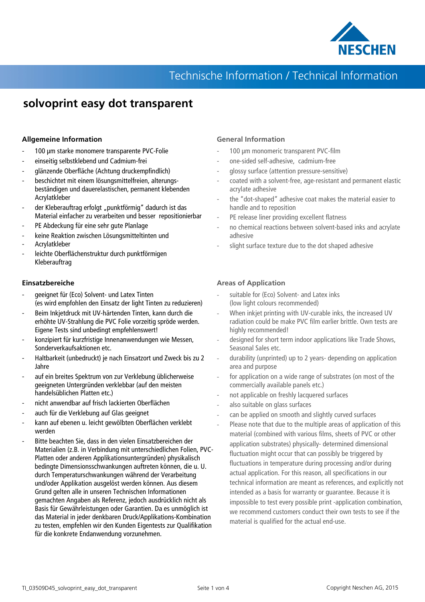

## **solvoprint easy dot transparent**

#### **Allgemeine Information**

- 100 µm starke monomere transparente PVC-Folie
- einseitig selbstklebend und Cadmium-frei
- glänzende Oberfläche (Achtung druckempfindlich)
- beschichtet mit einem lösungsmittelfreien, alterungsbeständigen und dauerelastischen, permanent klebenden Acrylatkleber
- der Kleberauftrag erfolgt "punktförmig" dadurch ist das Material einfacher zu verarbeiten und besser repositionierbar
- PE Abdeckung für eine sehr gute Planlage
- keine Reaktion zwischen Lösungsmitteltinten und
- Acrylatkleber
- leichte Oberflächenstruktur durch punktförmigen Kleberauftrag

#### **Einsatzbereiche**

- geeignet für (Eco) Solvent- und Latex Tinten (es wird empfohlen den Einsatz der light Tinten zu reduzieren)
- Beim Inkjetdruck mit UV-härtenden Tinten, kann durch die erhöhte UV-Strahlung die PVC Folie vorzeitig spröde werden. Eigene Tests sind unbedingt empfehlenswert!
- konzipiert für kurzfristige Innenanwendungen wie Messen, Sonderverkaufsaktionen etc.
- Haltbarkeit (unbedruckt) je nach Einsatzort und Zweck bis zu 2 Jahre
- auf ein breites Spektrum von zur Verklebung üblicherweise geeigneten Untergründen verklebbar (auf den meisten handelsüblichen Platten etc.)
- nicht anwendbar auf frisch lackierten Oberflächen
- auch für die Verklebung auf Glas geeignet
- kann auf ebenen u. leicht gewölbten Oberflächen verklebt werden
- Bitte beachten Sie, dass in den vielen Einsatzbereichen der Materialien (z.B. in Verbindung mit unterschiedlichen Folien, PVC-Platten oder anderen Applikationsuntergründen) physikalisch bedingte Dimensionsschwankungen auftreten können, die u. U. durch Temperaturschwankungen während der Verarbeitung und/oder Applikation ausgelöst werden können. Aus diesem Grund gelten alle in unseren Technischen Informationen gemachten Angaben als Referenz, jedoch ausdrücklich nicht als Basis für Gewährleistungen oder Garantien. Da es unmöglich ist das Material in jeder denkbaren Druck/Applikations-Kombination zu testen, empfehlen wir den Kunden Eigentests zur Qualifikation für die konkrete Endanwendung vorzunehmen.

### **General Information**

- 100 µm monomeric transparent PVC-film
- one-sided self-adhesive, cadmium-free
- glossy surface (attention pressure-sensitive)
- coated with a solvent-free, age-resistant and permanent elastic acrylate adhesive
- the "dot-shaped" adhesive coat makes the material easier to handle and to reposition
- PE release liner providing excellent flatness
- no chemical reactions between solvent-based inks and acrylate adhesive
- slight surface texture due to the dot shaped adhesive

### **Areas of Application**

- suitable for (Eco) Solvent- and Latex inks (low light colours recommended)
- When inkjet printing with UV-curable inks, the increased UV radiation could be make PVC film earlier brittle. Own tests are highly recommended!
- designed for short term indoor applications like Trade Shows, Seasonal Sales etc.
- durability (unprinted) up to 2 years- depending on application area and purpose
- for application on a wide range of substrates (on most of the commercially available panels etc.)
- not applicable on freshly lacquered surfaces
- also suitable on glass surfaces
- can be applied on smooth and slightly curved surfaces
- Please note that due to the multiple areas of application of this material (combined with various films, sheets of PVC or other application substrates) physically- determined dimensional fluctuation might occur that can possibly be triggered by fluctuations in temperature during processing and/or during actual application. For this reason, all specifications in our technical information are meant as references, and explicitly not intended as a basis for warranty or guarantee. Because it is impossible to test every possible print -application combination, we recommend customers conduct their own tests to see if the material is qualified for the actual end-use.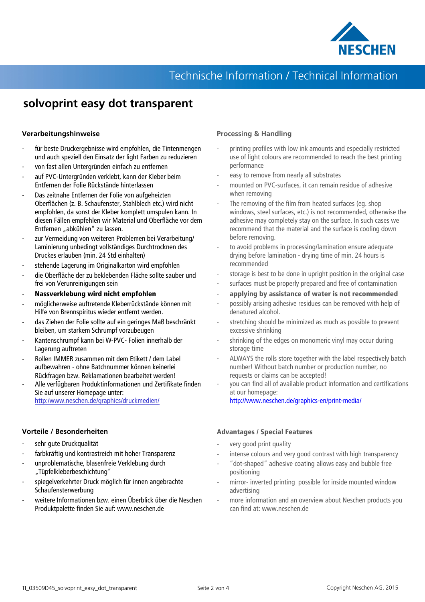

## **solvoprint easy dot transparent**

### **Verarbeitungshinweise**

- für beste Druckergebnisse wird empfohlen, die Tintenmengen und auch speziell den Einsatz der light Farben zu reduzieren
- von fast allen Untergründen einfach zu entfernen
- auf PVC-Untergründen verklebt, kann der Kleber beim Entfernen der Folie Rückstände hinterlassen
- Das zeitnahe Entfernen der Folie von aufgeheizten Oberflächen (z. B. Schaufenster, Stahlblech etc.) wird nicht empfohlen, da sonst der Kleber komplett umspulen kann. In diesen Fällen empfehlen wir Material und Oberfläche vor dem Entfernen "abkühlen" zu lassen.
- zur Vermeidung von weiteren Problemen bei Verarbeitung/ Laminierung unbedingt vollständiges Durchtrocknen des Druckes erlauben (min. 24 Std einhalten)
- stehende Lagerung im Originalkarton wird empfohlen
- die Oberfläche der zu beklebenden Fläche sollte sauber und frei von Verunreinigungen sein
- **Nassverklebung wird nicht empfohlen**
- möglicherweise auftretende Kleberrückstände können mit Hilfe von Brennspiritus wieder entfernt werden.
- das Ziehen der Folie sollte auf ein geringes Maß beschränkt bleiben, um starkem Schrumpf vorzubeugen
- Kantenschrumpf kann bei W-PVC- Folien innerhalb der Lagerung auftreten
- Rollen IMMER zusammen mit dem Etikett / dem Label aufbewahren - ohne Batchnummer können keinerlei Rückfragen bzw. Reklamationen bearbeitet werden!
- Alle verfügbaren Produktinformationen und Zertifikate finden Sie auf unserer Homepage unter: http:/www.neschen.de/graphics/druckmedien/

### **Vorteile / Besonderheiten**

- sehr gute Druckqualität
- farbkräftig und kontrastreich mit hoher Transparenz
- unproblematische, blasenfreie Verklebung durch "Tüpfelkleberbeschichtung"
- spiegelverkehrter Druck möglich für innen angebrachte Schaufensterwerbung
- weitere Informationen bzw. einen Überblick über die Neschen Produktpalette finden Sie auf: www.neschen.de

### **Processing & Handling**

- printing profiles with low ink amounts and especially restricted use of light colours are recommended to reach the best printing performance
- easy to remove from nearly all substrates
- mounted on PVC-surfaces, it can remain residue of adhesive when removing
- The removing of the film from heated surfaces (eg. shop windows, steel surfaces, etc.) is not recommended, otherwise the adhesive may completely stay on the surface. In such cases we recommend that the material and the surface is cooling down before removing.
- to avoid problems in processing/lamination ensure adequate drying before lamination - drying time of min. 24 hours is recommended
- storage is best to be done in upright position in the original case
- surfaces must be properly prepared and free of contamination
- **applying by assistance of water is not recommended**
- possibly arising adhesive residues can be removed with help of denatured alcohol.
- stretching should be minimized as much as possible to prevent excessive shrinking
- shrinking of the edges on monomeric vinyl may occur during storage time
- ALWAYS the rolls store together with the label respectively batch number! Without batch number or production number, no requests or claims can be accepted!
- you can find all of available product information and certifications at our homepage:

http://www.neschen.de/graphics-en/print-media/

### **Advantages / Special Features**

- very good print quality
- intense colours and very good contrast with high transparency
- "dot-shaped" adhesive coating allows easy and bubble free positioning
- mirror- inverted printing possible for inside mounted window advertising
- more information and an overview about Neschen products you can find at: www.neschen.de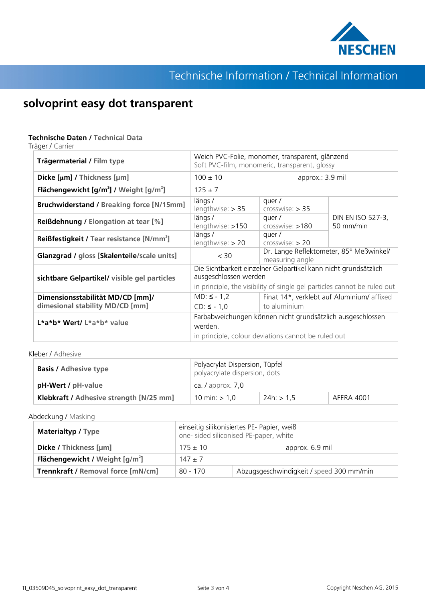

## **solvoprint easy dot transparent**

### **Technische Daten / Technical Data**

Träger / Carrier

| Trägermaterial / Film type                                 | Weich PVC-Folie, monomer, transparent, glänzend<br>Soft PVC-film, monomeric, transparent, glossy                                        |                                                            |                  |                                |  |
|------------------------------------------------------------|-----------------------------------------------------------------------------------------------------------------------------------------|------------------------------------------------------------|------------------|--------------------------------|--|
| Dicke [µm] / Thickness [µm]                                | $100 \pm 10$                                                                                                                            |                                                            | approx.: 3.9 mil |                                |  |
| Flächengewicht $[g/m^2]$ / Weight $[g/m^2]$                | $125 \pm 7$                                                                                                                             |                                                            |                  |                                |  |
| <b>Bruchwiderstand / Breaking force [N/15mm]</b>           | längs/<br>$lengthwise:$ > 35                                                                                                            | quer/<br>crosswise: > 35                                   |                  |                                |  |
| <b>Reißdehnung / Elongation at tear [%]</b>                | längs/<br>lengthwise: >150                                                                                                              | quer/<br>$crosswise: 180$                                  |                  | DIN EN ISO 527-3,<br>50 mm/min |  |
| <b>Reißfestigkeit / Tear resistance [N/mm<sup>2</sup>]</b> | längs/<br>$lengthwise:$ > 20                                                                                                            | quer/<br>$crosswise:$ > 20                                 |                  |                                |  |
| Glanzgrad / gloss [Skalenteile/scale units]                | < 30                                                                                                                                    | Dr. Lange Reflektometer, 85° Meßwinkel/<br>measuring angle |                  |                                |  |
| sichtbare Gelpartikel/ visible gel particles               | Die Sichtbarkeit einzelner Gelpartikel kann nicht grundsätzlich<br>ausgeschlossen werden                                                |                                                            |                  |                                |  |
| Dimensionsstabilität MD/CD [mm]/                           | in principle, the visibility of single gel particles cannot be ruled out<br>$MD: 5 - 1,2$<br>Finat 14*, verklebt auf Aluminium/ affixed |                                                            |                  |                                |  |
| dimesional stability MD/CD [mm]                            | $CD: S - 1,0$                                                                                                                           | to aluminium                                               |                  |                                |  |
| L*a*b* Wert/ L*a*b* value                                  | Farbabweichungen können nicht grundsätzlich ausgeschlossen<br>werden.<br>in principle, colour deviations cannot be ruled out            |                                                            |                  |                                |  |

Kleber / Adhesive

| <b>Basis / Adhesive type</b>            | Polyacrylat Dispersion, Tüpfel<br>polyacrylate dispersion, dots |              |            |  |
|-----------------------------------------|-----------------------------------------------------------------|--------------|------------|--|
| <b>pH-Wert / pH-value</b>               | ca. $\ell$ approx. $7.0$                                        |              |            |  |
| Klebkraft / Adhesive strength [N/25 mm] | 10 min: $> 1,0$                                                 | $24h:$ > 1,5 | AFERA 4001 |  |

Abdeckung / Masking

| <b>Materialtyp / Type</b>                                   | einseitig silikonisiertes PE- Papier, weiß<br>one- sided siliconised PE-paper, white |                                          |                 |  |
|-------------------------------------------------------------|--------------------------------------------------------------------------------------|------------------------------------------|-----------------|--|
| Dicke / Thickness [µm]                                      | $175 \pm 10$                                                                         |                                          | approx. 6.9 mil |  |
| <b>Flächengewicht</b> / Weight $\left[\frac{q}{m^2}\right]$ | $147 + 7$                                                                            |                                          |                 |  |
| <b>Trennkraft / Removal force [mN/cm]</b>                   | 80 - 170                                                                             | Abzugsgeschwindigkeit / speed 300 mm/min |                 |  |